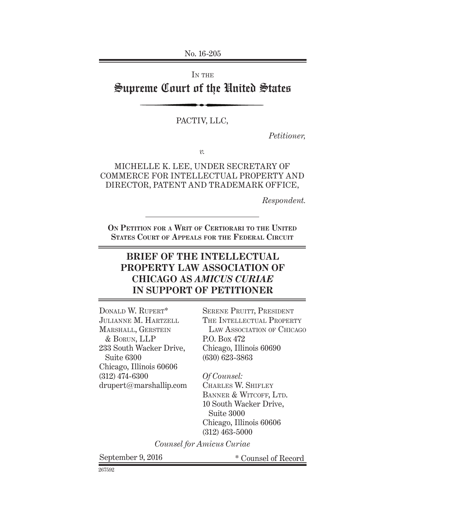No. 16-205

IN THE

# Supreme Court of the United States

#### PACTIV, LLC,

*Petitioner,*

*v.*

#### MICHELLE K. LEE, UNDER SECRETARY OF COMMERCE FOR INTELLECTUAL PROPERTY AND DIRECTOR, PATENT AND TRADEMARK OFFICE,

*Respondent.*

**On Petition for a Writ of Certiorari to the United States Court of Appeals for the Federal Circuit**

## **BRIEF OF THE INTELLECTUAL PROPERTY LAW ASSOCIATION OF CHICAGO AS** *AMICUS CURIAE* **IN SUPPORT OF PETITIONER**

Donald W. Rupert\* Julianne M. Hartzell MARSHALL, GERSTEIN & Borun, LLP 233 South Wacker Drive, Suite 6300 Chicago, Illinois 60606 (312) 474-6300 drupert@marshallip.com

SERENE PRUITT, PRESIDENT THE INTELLECTUAL PROPERTY LAW ASSOCIATION OF CHICAGO P.O. Box 472 Chicago, Illinois 60690 (630) 623-3863

*Of Counsel:* Charles W. Shifley BANNER & WITCOFF, LTD. 10 South Wacker Drive, Suite 3000 Chicago, Illinois 60606 (312) 463-5000

*Counsel for Amicus Curiae*

September 9, 2016  $*$  Counsel of Record

267592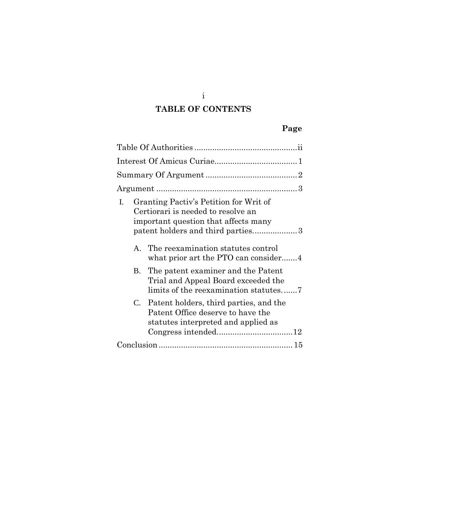# **TABLE OF CONTENTS**

## **Page**

| Granting Pactiv's Petition for Writ of<br>L.<br>Certiorari is needed to resolve an<br>important question that affects many<br>patent holders and third parties3 |  |
|-----------------------------------------------------------------------------------------------------------------------------------------------------------------|--|
| The reexamination statutes control<br>$\mathbf{A}$<br>what prior art the PTO can consider4                                                                      |  |
| The patent examiner and the Patent<br><b>B.</b><br>Trial and Appeal Board exceeded the<br>limits of the reexamination statutes                                  |  |
| C. Patent holders, third parties, and the<br>Patent Office deserve to have the<br>statutes interpreted and applied as                                           |  |
|                                                                                                                                                                 |  |

i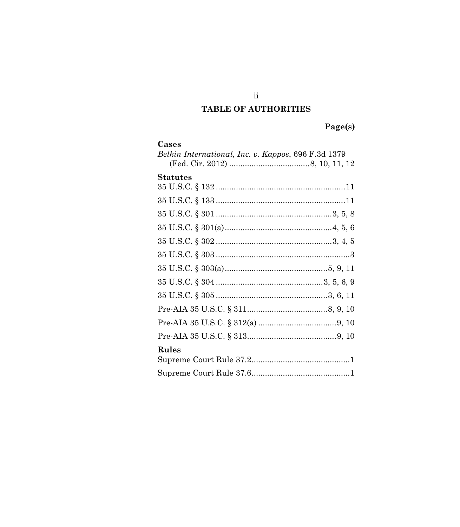## TABLE OF AUTHORITIES

Page(s)

<span id="page-2-0"></span>

| Cases                                               |  |
|-----------------------------------------------------|--|
| Belkin International, Inc. v. Kappos, 696 F.3d 1379 |  |
|                                                     |  |
| <b>Statutes</b>                                     |  |
|                                                     |  |
|                                                     |  |
|                                                     |  |
|                                                     |  |
|                                                     |  |
|                                                     |  |
|                                                     |  |
|                                                     |  |
|                                                     |  |
|                                                     |  |
|                                                     |  |
|                                                     |  |
| Rules                                               |  |
|                                                     |  |
|                                                     |  |

 $\overline{\textbf{i}}$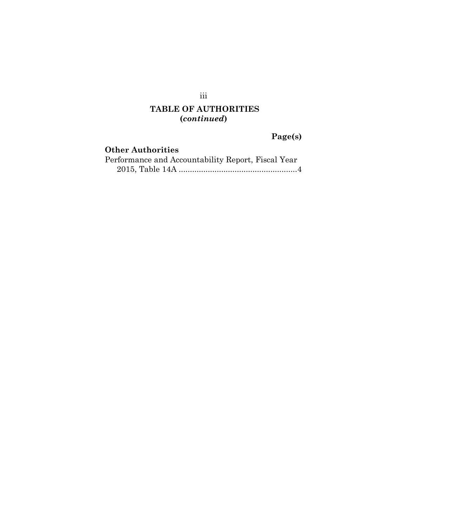# **TABLE OF AUTHORITIES (***continued***)**

## **Page(s)**

### **Other Authorities** Performance and Accountability Report, Fiscal Year 2015, Table 14A .....................................................4

iii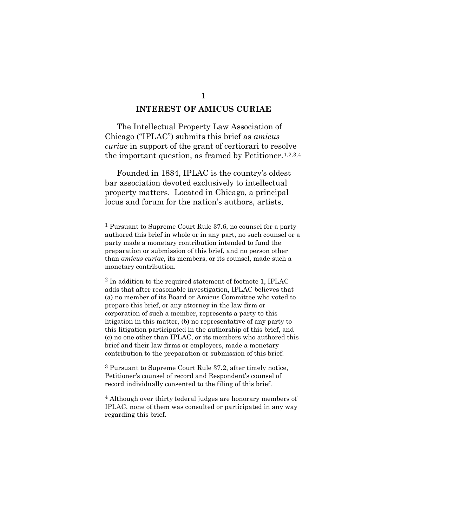#### **INTEREST OF AMICUS CURIAE**

<span id="page-4-0"></span>The Intellectual Property Law Association of Chicago ("IPLAC") submits this brief as *amicus curiae* in support of the grant of certiorari to resolve the important question, as framed by Petitioner.<sup>[1](#page-4-1),[2](#page-4-2),[3](#page-4-3),[4](#page-4-4)</sup>

Founded in 1884, IPLAC is the country's oldest bar association devoted exclusively to intellectual property matters. Located in Chicago, a principal locus and forum for the nation's authors, artists,

 $\overline{a}$ 

<span id="page-4-3"></span>3 Pursuant to Supreme Court Rule 37.2, after timely notice, Petitioner's counsel of record and Respondent's counsel of record individually consented to the filing of this brief.

<span id="page-4-1"></span><sup>1</sup> Pursuant to Supreme Court Rule 37.6, no counsel for a party authored this brief in whole or in any part, no such counsel or a party made a monetary contribution intended to fund the preparation or submission of this brief, and no person other than *amicus curiae*, its members, or its counsel, made such a monetary contribution.

<span id="page-4-2"></span><sup>2</sup> In addition to the required statement of footnote 1, IPLAC adds that after reasonable investigation, IPLAC believes that (a) no member of its Board or Amicus Committee who voted to prepare this brief, or any attorney in the law firm or corporation of such a member, represents a party to this litigation in this matter, (b) no representative of any party to this litigation participated in the authorship of this brief, and (c) no one other than IPLAC, or its members who authored this brief and their law firms or employers, made a monetary contribution to the preparation or submission of this brief.

<span id="page-4-4"></span><sup>4</sup> Although over thirty federal judges are honorary members of IPLAC, none of them was consulted or participated in any way regarding this brief.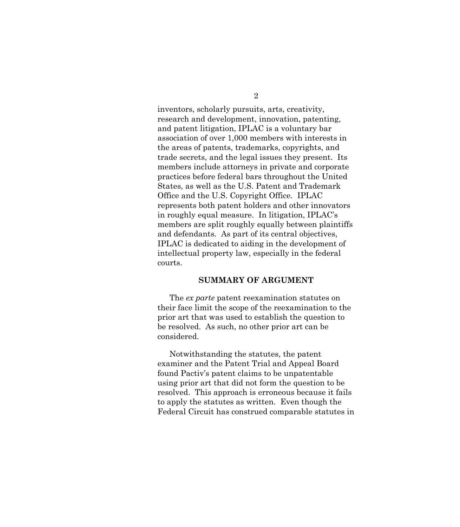inventors, scholarly pursuits, arts, creativity, research and development, innovation, patenting, and patent litigation, IPLAC is a voluntary bar association of over 1,000 members with interests in the areas of patents, trademarks, copyrights, and trade secrets, and the legal issues they present. Its members include attorneys in private and corporate practices before federal bars throughout the United States, as well as the U.S. Patent and Trademark Office and the U.S. Copyright Office. IPLAC represents both patent holders and other innovators in roughly equal measure. In litigation, IPLAC's members are split roughly equally between plaintiffs and defendants. As part of its central objectives, IPLAC is dedicated to aiding in the development of intellectual property law, especially in the federal courts.

#### **SUMMARY OF ARGUMENT**

<span id="page-5-0"></span>The *ex parte* patent reexamination statutes on their face limit the scope of the reexamination to the prior art that was used to establish the question to be resolved. As such, no other prior art can be considered.

Notwithstanding the statutes, the patent examiner and the Patent Trial and Appeal Board found Pactiv's patent claims to be unpatentable using prior art that did not form the question to be resolved. This approach is erroneous because it fails to apply the statutes as written. Even though the Federal Circuit has construed comparable statutes in

2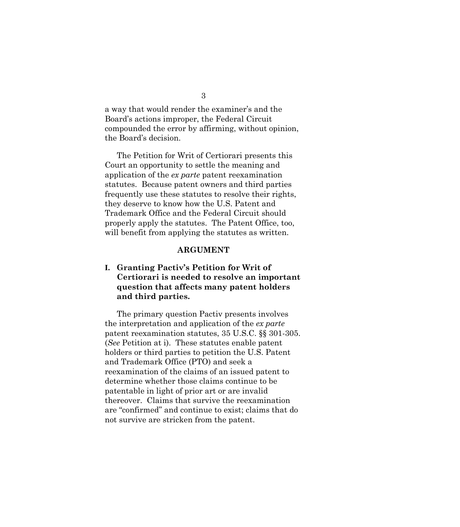a way that would render the examiner's and the Board's actions improper, the Federal Circuit compounded the error by affirming, without opinion, the Board's decision.

The Petition for Writ of Certiorari presents this Court an opportunity to settle the meaning and application of the *ex parte* patent reexamination statutes. Because patent owners and third parties frequently use these statutes to resolve their rights, they deserve to know how the U.S. Patent and Trademark Office and the Federal Circuit should properly apply the statutes. The Patent Office, too, will benefit from applying the statutes as written.

#### **ARGUMENT**

### <span id="page-6-1"></span><span id="page-6-0"></span>**I. Granting Pactiv's Petition for Writ of Certiorari is needed to resolve an important question that affects many patent holders and third parties.**

The primary question Pactiv presents involves the interpretation and application of the *ex parte* patent reexamination statutes, 35 U.S.C. §§ 301-305. (*See* Petition at i). These statutes enable patent holders or third parties to petition the U.S. Patent and Trademark Office (PTO) and seek a reexamination of the claims of an issued patent to determine whether those claims continue to be patentable in light of prior art or are invalid thereover. Claims that survive the reexamination are "confirmed" and continue to exist; claims that do not survive are stricken from the patent.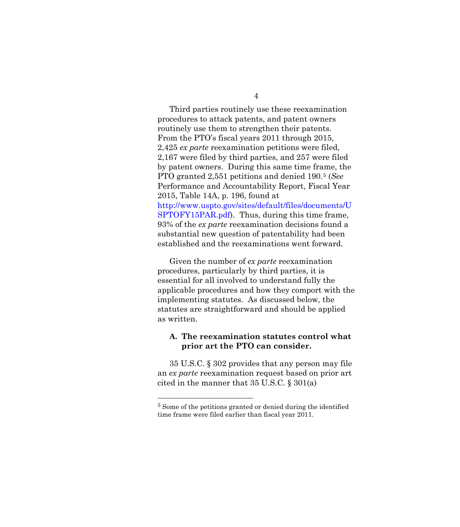Third parties routinely use these reexamination procedures to attack patents, and patent owners routinely use them to strengthen their patents. From the PTO's fiscal years 2011 through 2015, 2,425 *ex parte* reexamination petitions were filed, 2,167 were filed by third parties, and 257 were filed by patent owners. During this same time frame, the PTO granted 2,551 petitions and denied 190.[5](#page-7-1) (*See* Performance and Accountability Report, Fiscal Year 2015, Table 14A, p. 196, found at [http://www.uspto.gov/sites/default/files/documents/U](http://www.uspto.gov/sites/default/files/documents/USPTOFY15PAR.pdf) [SPTOFY15PAR.pdf\)](http://www.uspto.gov/sites/default/files/documents/USPTOFY15PAR.pdf). Thus, during this time frame, 93% of the *ex parte* reexamination decisions found a substantial new question of patentability had been established and the reexaminations went forward.

Given the number of *ex parte* reexamination procedures, particularly by third parties, it is essential for all involved to understand fully the applicable procedures and how they comport with the implementing statutes. As discussed below, the statutes are straightforward and should be applied as written.

#### <span id="page-7-0"></span>**A. The reexamination statutes control what prior art the PTO can consider.**

35 U.S.C. § 302 provides that any person may file an *ex parte* reexamination request based on prior art cited in the manner that 35 U.S.C. § 301(a)

 $\overline{a}$ 

<span id="page-7-1"></span><sup>5</sup> Some of the petitions granted or denied during the identified time frame were filed earlier than fiscal year 2011.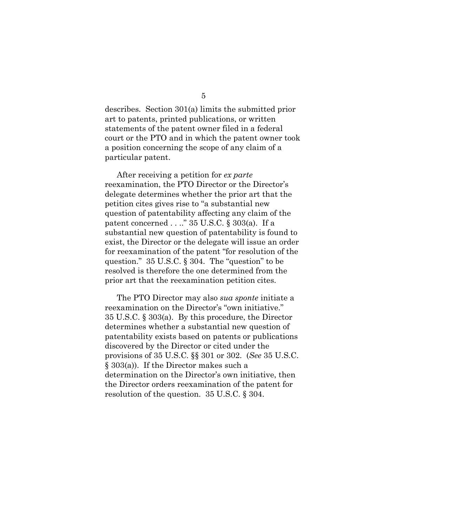describes. Section 301(a) limits the submitted prior art to patents, printed publications, or written statements of the patent owner filed in a federal court or the PTO and in which the patent owner took a position concerning the scope of any claim of a particular patent.

After receiving a petition for *ex parte* reexamination, the PTO Director or the Director's delegate determines whether the prior art that the petition cites gives rise to "a substantial new question of patentability affecting any claim of the patent concerned . . .." 35 U.S.C. § 303(a). If a substantial new question of patentability is found to exist, the Director or the delegate will issue an order for reexamination of the patent "for resolution of the question." 35 U.S.C. § 304. The "question" to be resolved is therefore the one determined from the prior art that the reexamination petition cites.

The PTO Director may also *sua sponte* initiate a reexamination on the Director's "own initiative." 35 U.S.C. § 303(a). By this procedure, the Director determines whether a substantial new question of patentability exists based on patents or publications discovered by the Director or cited under the provisions of 35 U.S.C. §§ 301 or 302. (*See* 35 U.S.C. § 303(a)). If the Director makes such a determination on the Director's own initiative, then the Director orders reexamination of the patent for resolution of the question. 35 U.S.C. § 304.

5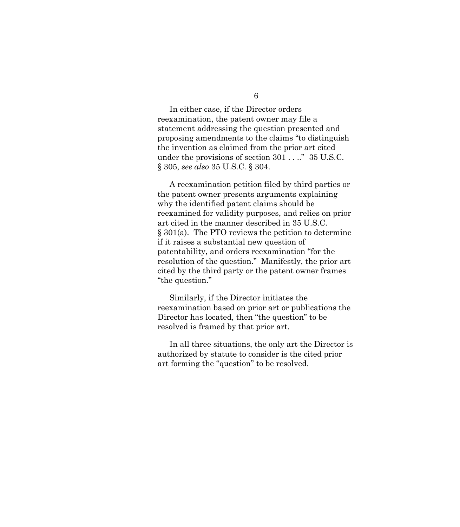In either case, if the Director orders reexamination, the patent owner may file a statement addressing the question presented and proposing amendments to the claims "to distinguish the invention as claimed from the prior art cited under the provisions of section 301 . . .." 35 U.S.C. § 305, *see also* 35 U.S.C. § 304.

A reexamination petition filed by third parties or the patent owner presents arguments explaining why the identified patent claims should be reexamined for validity purposes, and relies on prior art cited in the manner described in 35 U.S.C. § 301(a). The PTO reviews the petition to determine if it raises a substantial new question of patentability, and orders reexamination "for the resolution of the question." Manifestly, the prior art cited by the third party or the patent owner frames "the question."

Similarly, if the Director initiates the reexamination based on prior art or publications the Director has located, then "the question" to be resolved is framed by that prior art.

In all three situations, the only art the Director is authorized by statute to consider is the cited prior art forming the "question" to be resolved.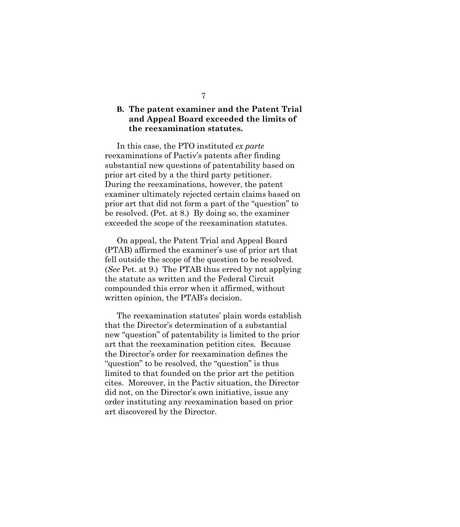### <span id="page-10-0"></span>**B. The patent examiner and the Patent Trial and Appeal Board exceeded the limits of the reexamination statutes.**

In this case, the PTO instituted *ex parte* reexaminations of Pactiv's patents after finding substantial new questions of patentability based on prior art cited by a the third party petitioner. During the reexaminations, however, the patent examiner ultimately rejected certain claims based on prior art that did not form a part of the "question" to be resolved. (Pet. at 8.) By doing so, the examiner exceeded the scope of the reexamination statutes.

On appeal, the Patent Trial and Appeal Board (PTAB) affirmed the examiner's use of prior art that fell outside the scope of the question to be resolved. (*See* Pet. at 9.) The PTAB thus erred by not applying the statute as written and the Federal Circuit compounded this error when it affirmed, without written opinion, the PTAB's decision.

The reexamination statutes' plain words establish that the Director's determination of a substantial new "question" of patentability is limited to the prior art that the reexamination petition cites. Because the Director's order for reexamination defines the "question" to be resolved, the "question" is thus limited to that founded on the prior art the petition cites. Moreover, in the Pactiv situation, the Director did not, on the Director's own initiative, issue any order instituting any reexamination based on prior art discovered by the Director.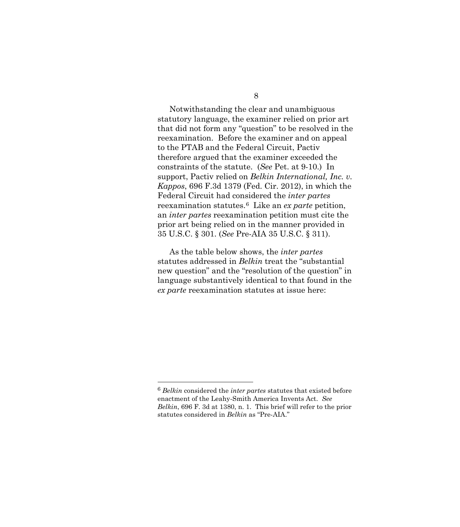Notwithstanding the clear and unambiguous statutory language, the examiner relied on prior art that did not form any "question" to be resolved in the reexamination. Before the examiner and on appeal to the PTAB and the Federal Circuit, Pactiv therefore argued that the examiner exceeded the constraints of the statute. (*See* Pet. at 9-10.) In support, Pactiv relied on *Belkin International, Inc. v. Kappos*, 696 F.3d 1379 (Fed. Cir. 2012), in which the Federal Circuit had considered the *inter partes* reexamination statutes.[6](#page-11-0) Like an *ex parte* petition, an *inter partes* reexamination petition must cite the prior art being relied on in the manner provided in 35 U.S.C. § 301. (*See* Pre-AIA 35 U.S.C. § 311).

As the table below shows, the *inter partes* statutes addressed in *Belkin* treat the "substantial new question" and the "resolution of the question" in language substantively identical to that found in the *ex parte* reexamination statutes at issue here:

 $\overline{a}$ 

<span id="page-11-0"></span><sup>6</sup> *Belkin* considered the *inter partes* statutes that existed before enactment of the Leahy-Smith America Invents Act. *See Belkin*, 696 F. 3d at 1380, n. 1. This brief will refer to the prior statutes considered in *Belkin* as "Pre-AIA."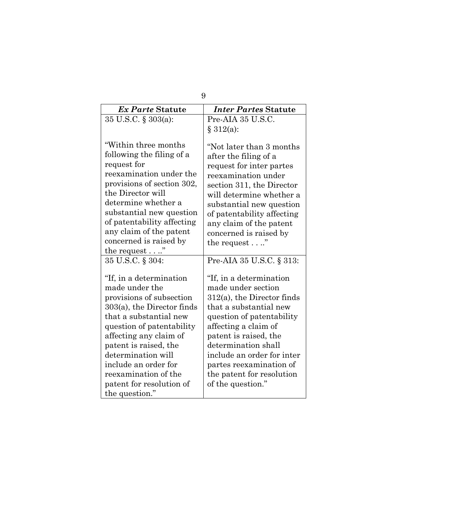| 9                                                                                                                                                                                                                                                                                                                                     |                                                                                                                                                                                                                                                                                                                           |  |
|---------------------------------------------------------------------------------------------------------------------------------------------------------------------------------------------------------------------------------------------------------------------------------------------------------------------------------------|---------------------------------------------------------------------------------------------------------------------------------------------------------------------------------------------------------------------------------------------------------------------------------------------------------------------------|--|
| Ex Parte Statute                                                                                                                                                                                                                                                                                                                      | <b>Inter Partes Statute</b>                                                                                                                                                                                                                                                                                               |  |
| 35 U.S.C. § 303(a):                                                                                                                                                                                                                                                                                                                   | Pre-AIA 35 U.S.C.                                                                                                                                                                                                                                                                                                         |  |
|                                                                                                                                                                                                                                                                                                                                       | § 312(a):                                                                                                                                                                                                                                                                                                                 |  |
| "Within three months<br>following the filing of a<br>request for<br>reexamination under the<br>provisions of section 302,<br>the Director will<br>determine whether a<br>substantial new question<br>of patentability affecting<br>any claim of the patent<br>concerned is raised by<br>the request $\dots$ "                         | "Not later than 3 months<br>after the filing of a<br>request for inter partes<br>reexamination under<br>section 311, the Director<br>will determine whether a<br>substantial new question<br>of patentability affecting<br>any claim of the patent<br>concerned is raised by<br>the request $\dots$ "                     |  |
| 35 U.S.C. § 304:                                                                                                                                                                                                                                                                                                                      | Pre-AIA 35 U.S.C. § 313:                                                                                                                                                                                                                                                                                                  |  |
| "If, in a determination"<br>made under the<br>provisions of subsection<br>$303(a)$ , the Director finds<br>that a substantial new<br>question of patentability<br>affecting any claim of<br>patent is raised, the<br>determination will<br>include an order for<br>reexamination of the<br>patent for resolution of<br>the question." | "If, in a determination"<br>made under section<br>$312(a)$ , the Director finds<br>that a substantial new<br>question of patentability<br>affecting a claim of<br>patent is raised, the<br>determination shall<br>include an order for inter<br>partes reexamination of<br>the patent for resolution<br>of the question." |  |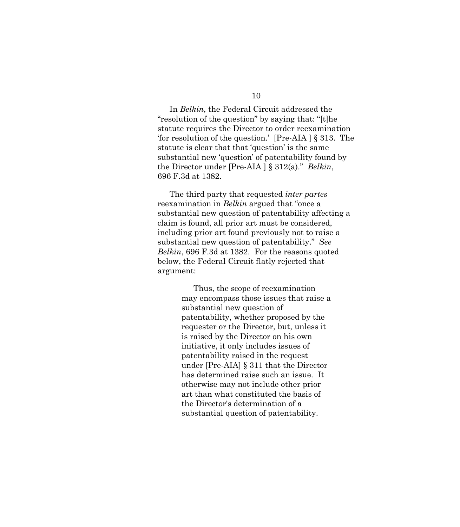In *Belkin*, the Federal Circuit addressed the "resolution of the question" by saying that: "[t]he statute requires the Director to order reexamination 'for resolution of the question.' [Pre-AIA ] § 313. The statute is clear that that 'question' is the same substantial new 'question' of patentability found by the Director under [Pre-AIA ] § 312(a)." *Belkin*, 696 F.3d at 1382.

The third party that requested *inter partes* reexamination in *Belkin* argued that "once a substantial new question of patentability affecting a claim is found, all prior art must be considered, including prior art found previously not to raise a substantial new question of patentability." *See Belkin*, 696 F.3d at 1382. For the reasons quoted below, the Federal Circuit flatly rejected that argument:

> Thus, the scope of reexamination may encompass those issues that raise a substantial new question of patentability, whether proposed by the requester or the Director, but, unless it is raised by the Director on his own initiative, it only includes issues of patentability raised in the request under [Pre-AIA] § 311 that the Director has determined raise such an issue. It otherwise may not include other prior art than what constituted the basis of the Director's determination of a substantial question of patentability.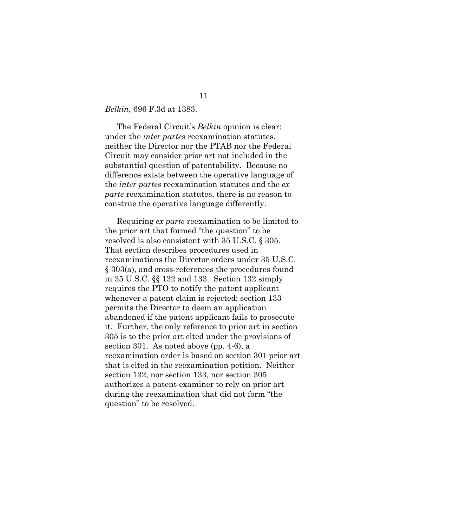*Belkin*, 696 F.3d at 1383.

The Federal Circuit's *Belkin* opinion is clear: under the *inter partes* reexamination statutes, neither the Director nor the PTAB nor the Federal Circuit may consider prior art not included in the substantial question of patentability. Because no difference exists between the operative language of the *inter partes* reexamination statutes and the *ex parte* reexamination statutes, there is no reason to construe the operative language differently.

Requiring *ex parte* reexamination to be limited to the prior art that formed "the question" to be resolved is also consistent with 35 U.S.C. § 305. That section describes procedures used in reexaminations the Director orders under 35 U.S.C. § 303(a), and cross-references the procedures found in 35 U.S.C. §§ 132 and 133. Section 132 simply requires the PTO to notify the patent applicant whenever a patent claim is rejected; section 133 permits the Director to deem an application abandoned if the patent applicant fails to prosecute it. Further, the only reference to prior art in section 305 is to the prior art cited under the provisions of section 301. As noted above (pp. 4-6), a reexamination order is based on section 301 prior art that is cited in the reexamination petition. Neither section 132, nor section 133, nor section 305 authorizes a patent examiner to rely on prior art during the reexamination that did not form "the question" to be resolved.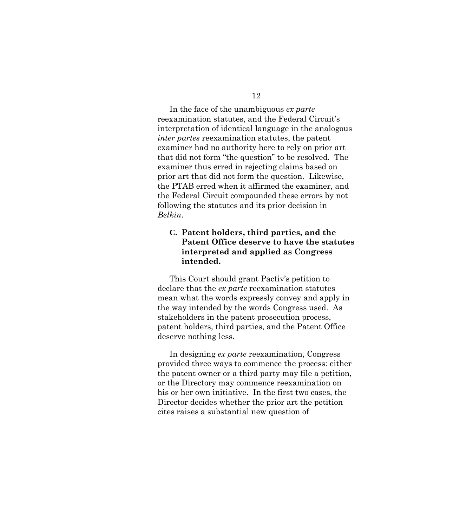In the face of the unambiguous *ex parte* reexamination statutes, and the Federal Circuit's interpretation of identical language in the analogous *inter partes* reexamination statutes, the patent examiner had no authority here to rely on prior art that did not form "the question" to be resolved. The examiner thus erred in rejecting claims based on prior art that did not form the question. Likewise, the PTAB erred when it affirmed the examiner, and the Federal Circuit compounded these errors by not following the statutes and its prior decision in *Belkin*.

### <span id="page-15-0"></span>**C. Patent holders, third parties, and the Patent Office deserve to have the statutes interpreted and applied as Congress intended.**

This Court should grant Pactiv's petition to declare that the *ex parte* reexamination statutes mean what the words expressly convey and apply in the way intended by the words Congress used. As stakeholders in the patent prosecution process, patent holders, third parties, and the Patent Office deserve nothing less.

In designing *ex parte* reexamination, Congress provided three ways to commence the process: either the patent owner or a third party may file a petition, or the Directory may commence reexamination on his or her own initiative. In the first two cases, the Director decides whether the prior art the petition cites raises a substantial new question of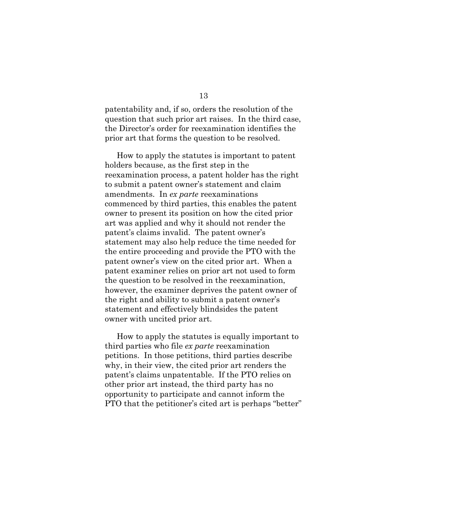patentability and, if so, orders the resolution of the question that such prior art raises. In the third case, the Director's order for reexamination identifies the prior art that forms the question to be resolved.

How to apply the statutes is important to patent holders because, as the first step in the reexamination process, a patent holder has the right to submit a patent owner's statement and claim amendments. In *ex parte* reexaminations commenced by third parties, this enables the patent owner to present its position on how the cited prior art was applied and why it should not render the patent's claims invalid. The patent owner's statement may also help reduce the time needed for the entire proceeding and provide the PTO with the patent owner's view on the cited prior art. When a patent examiner relies on prior art not used to form the question to be resolved in the reexamination, however, the examiner deprives the patent owner of the right and ability to submit a patent owner's statement and effectively blindsides the patent owner with uncited prior art.

How to apply the statutes is equally important to third parties who file *ex parte* reexamination petitions. In those petitions, third parties describe why, in their view, the cited prior art renders the patent's claims unpatentable. If the PTO relies on other prior art instead, the third party has no opportunity to participate and cannot inform the PTO that the petitioner's cited art is perhaps "better"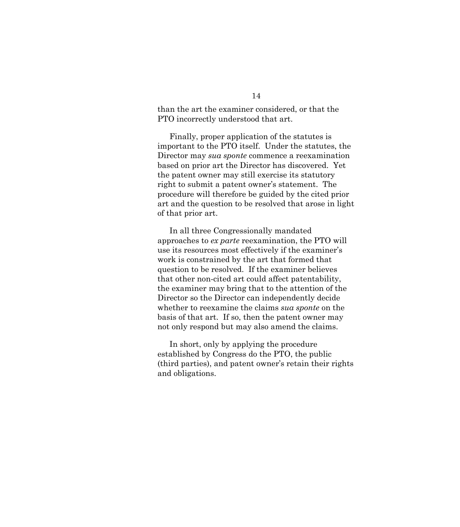than the art the examiner considered, or that the PTO incorrectly understood that art.

Finally, proper application of the statutes is important to the PTO itself. Under the statutes, the Director may *sua sponte* commence a reexamination based on prior art the Director has discovered. Yet the patent owner may still exercise its statutory right to submit a patent owner's statement. The procedure will therefore be guided by the cited prior art and the question to be resolved that arose in light of that prior art.

In all three Congressionally mandated approaches to *ex parte* reexamination, the PTO will use its resources most effectively if the examiner's work is constrained by the art that formed that question to be resolved. If the examiner believes that other non-cited art could affect patentability, the examiner may bring that to the attention of the Director so the Director can independently decide whether to reexamine the claims *sua sponte* on the basis of that art. If so, then the patent owner may not only respond but may also amend the claims.

In short, only by applying the procedure established by Congress do the PTO, the public (third parties), and patent owner's retain their rights and obligations.